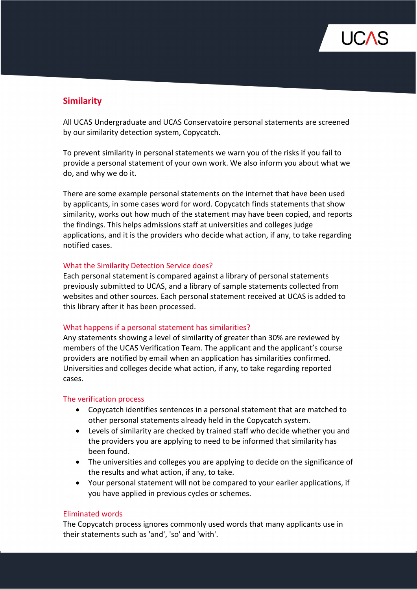

# **Similarity**

All UCAS Undergraduate and UCAS Conservatoire personal statements are screened by our similarity detection system, Copycatch.

To prevent similarity in personal statements we warn you of the risks if you fail to provide a personal statement of your own work. We also inform you about what we do, and why we do it.

There are some example personal statements on the internet that have been used by applicants, in some cases word for word. Copycatch finds statements that show similarity, works out how much of the statement may have been copied, and reports the findings. This helps admissions staff at universities and colleges judge applications, and it is the providers who decide what action, if any, to take regarding notified cases.

## What the Similarity Detection Service does?

Each personal statement is compared against a library of personal statements previously submitted to UCAS, and a library of sample statements collected from websites and other sources. Each personal statement received at UCAS is added to this library after it has been processed.

#### What happens if a personal statement has similarities?

Any statements showing a level of similarity of greater than 30% are reviewed by members of the UCAS Verification Team. The applicant and the applicant's course providers are notified by email when an application has similarities confirmed. Universities and colleges decide what action, if any, to take regarding reported cases.

#### The verification process

- Copycatch identifies sentences in a personal statement that are matched to other personal statements already held in the Copycatch system.
- Levels of similarity are checked by trained staff who decide whether you and the providers you are applying to need to be informed that similarity has been found.
- The universities and colleges you are applying to decide on the significance of the results and what action, if any, to take.
- Your personal statement will not be compared to your earlier applications, if you have applied in previous cycles or schemes.

#### Eliminated words

The Copycatch process ignores commonly used words that many applicants use in their statements such as 'and', 'so' and 'with'.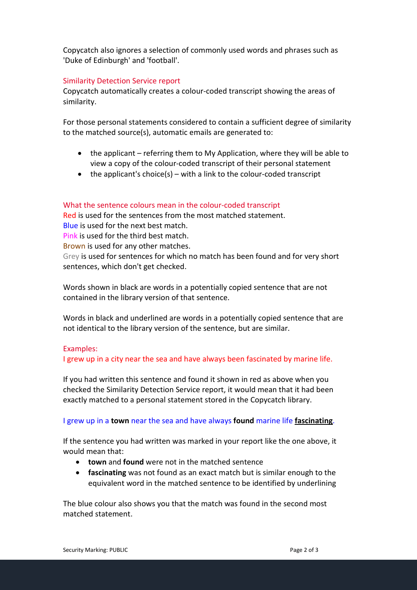Copycatch also ignores a selection of commonly used words and phrases such as 'Duke of Edinburgh' and 'football'.

## Similarity Detection Service report

Copycatch automatically creates a colour-coded transcript showing the areas of similarity.

For those personal statements considered to contain a sufficient degree of similarity to the matched source(s), automatic emails are generated to:

- the applicant referring them to My Application, where they will be able to view a copy of the colour-coded transcript of their personal statement
- $\bullet$  the applicant's choice(s) with a link to the colour-coded transcript

## What the sentence colours mean in the colour-coded transcript

Red is used for the sentences from the most matched statement. Blue is used for the next best match. Pink is used for the third best match. Brown is used for any other matches. Grey is used for sentences for which no match has been found and for very short sentences, which don't get checked.

Words shown in black are words in a potentially copied sentence that are not contained in the library version of that sentence.

Words in black and underlined are words in a potentially copied sentence that are not identical to the library version of the sentence, but are similar.

#### Examples:

I grew up in a city near the sea and have always been fascinated by marine life.

If you had written this sentence and found it shown in red as above when you checked the Similarity Detection Service report, it would mean that it had been exactly matched to a personal statement stored in the Copycatch library.

#### I grew up in a **town** near the sea and have always **found** marine life **fascinating**.

If the sentence you had written was marked in your report like the one above, it would mean that:

- **town** and **found** were not in the matched sentence
- **fascinating** was not found as an exact match but is similar enough to the equivalent word in the matched sentence to be identified by underlining

The blue colour also shows you that the match was found in the second most matched statement.